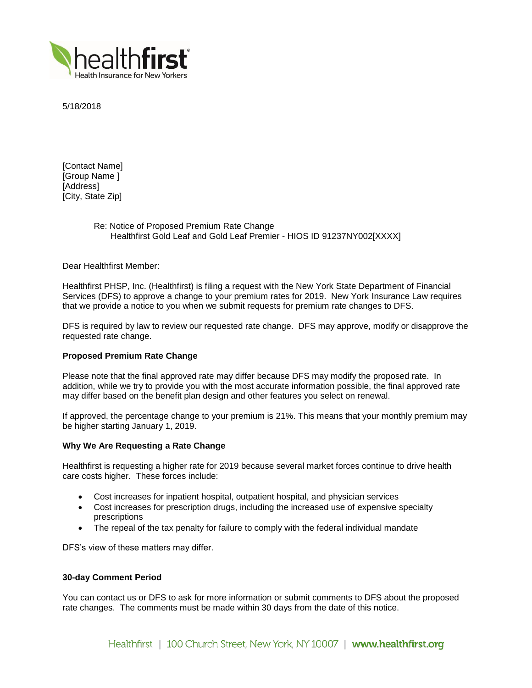

5/18/2018

[Contact Name] [Group Name ] [Address] [City, State Zip]

# Re: Notice of Proposed Premium Rate Change Healthfirst Gold Leaf and Gold Leaf Premier - HIOS ID 91237NY002[XXXX]

Dear Healthfirst Member:

Healthfirst PHSP, Inc. (Healthfirst) is filing a request with the New York State Department of Financial Services (DFS) to approve a change to your premium rates for 2019. New York Insurance Law requires that we provide a notice to you when we submit requests for premium rate changes to DFS.

DFS is required by law to review our requested rate change. DFS may approve, modify or disapprove the requested rate change.

# **Proposed Premium Rate Change**

Please note that the final approved rate may differ because DFS may modify the proposed rate. In addition, while we try to provide you with the most accurate information possible, the final approved rate may differ based on the benefit plan design and other features you select on renewal.

If approved, the percentage change to your premium is 21%. This means that your monthly premium may be higher starting January 1, 2019.

### **Why We Are Requesting a Rate Change**

Healthfirst is requesting a higher rate for 2019 because several market forces continue to drive health care costs higher. These forces include:

- Cost increases for inpatient hospital, outpatient hospital, and physician services
- Cost increases for prescription drugs, including the increased use of expensive specialty prescriptions
- The repeal of the tax penalty for failure to comply with the federal individual mandate

DFS's view of these matters may differ.

### **30-day Comment Period**

You can contact us or DFS to ask for more information or submit comments to DFS about the proposed rate changes. The comments must be made within 30 days from the date of this notice.